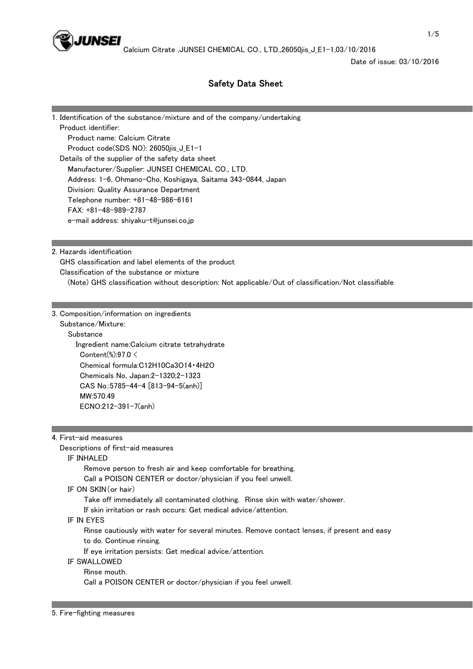

Date of issue: 03/10/2016

# Safety Data Sheet

1. Identification of the substance/mixture and of the company/undertaking Product identifier: Product name: Calcium Citrate Product code(SDS NO): 26050jis\_J\_E1-1 Details of the supplier of the safety data sheet Manufacturer/Supplier: JUNSEI CHEMICAL CO., LTD. Address: 1-6, Ohmano-Cho, Koshigaya, Saitama 343-0844, Japan Division: Quality Assurance Department Telephone number: +81-48-986-6161 FAX: +81-48-989-2787 e-mail address: shiyaku-t@junsei.co.jp

2. Hazards identification

 GHS classification and label elements of the product Classification of the substance or mixture (Note) GHS classification without description: Not applicable/Out of classification/Not classifiable

3. Composition/information on ingredients

Substance/Mixture:

**Substance** 

 Ingredient name:Calcium citrate tetrahydrate Content(%):97.0 < Chemical formula:C12H10Ca3O14・4H2O Chemicals No, Japan:2-1320;2-1323 CAS No.:5785-44-4 [813-94-5(anh)] MW:570.49 ECNO:212-391-7(anh)

4. First-aid measures

Descriptions of first-aid measures

### IF INHALED

Remove person to fresh air and keep comfortable for breathing.

Call a POISON CENTER or doctor/physician if you feel unwell.

```
 IF ON SKIN(or hair)
```
Take off immediately all contaminated clothing. Rinse skin with water/shower.

If skin irritation or rash occurs: Get medical advice/attention.

IF IN EYES

 Rinse cautiously with water for several minutes. Remove contact lenses, if present and easy to do. Continue rinsing.

If eye irritation persists: Get medical advice/attention.

IF SWALLOWED

 Rinse mouth. Call a POISON CENTER or doctor/physician if you feel unwell.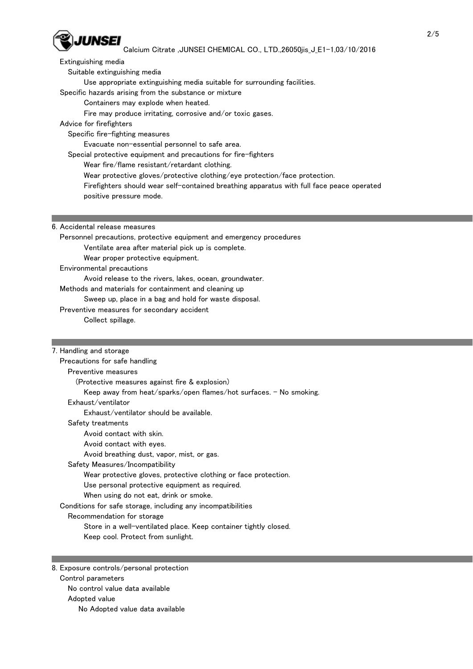

## Calcium Citrate ,JUNSEI CHEMICAL CO., LTD.,26050jis J E1-1,03/10/2016

#### Extinguishing media

Suitable extinguishing media

Use appropriate extinguishing media suitable for surrounding facilities.

Specific hazards arising from the substance or mixture

Containers may explode when heated.

Fire may produce irritating, corrosive and/or toxic gases.

Advice for firefighters

Specific fire-fighting measures

Evacuate non-essential personnel to safe area.

Special protective equipment and precautions for fire-fighters

Wear fire/flame resistant/retardant clothing.

Wear protective gloves/protective clothing/eye protection/face protection.

 Firefighters should wear self-contained breathing apparatus with full face peace operated positive pressure mode.

6. Accidental release measures

Personnel precautions, protective equipment and emergency procedures

Ventilate area after material pick up is complete.

Wear proper protective equipment.

Environmental precautions

Avoid release to the rivers, lakes, ocean, groundwater.

Methods and materials for containment and cleaning up

Sweep up, place in a bag and hold for waste disposal.

Preventive measures for secondary accident

Collect spillage.

### 7. Handling and storage

Precautions for safe handling

Preventive measures

(Protective measures against fire & explosion)

Keep away from heat/sparks/open flames/hot surfaces. - No smoking.

Exhaust/ventilator

Exhaust/ventilator should be available.

Safety treatments

Avoid contact with skin.

Avoid contact with eyes.

Avoid breathing dust, vapor, mist, or gas.

Safety Measures/Incompatibility

Wear protective gloves, protective clothing or face protection.

Use personal protective equipment as required.

When using do not eat, drink or smoke.

Conditions for safe storage, including any incompatibilities

Recommendation for storage

Store in a well-ventilated place. Keep container tightly closed.

Keep cool. Protect from sunlight.

8. Exposure controls/personal protection

Control parameters

No control value data available

Adopted value

No Adopted value data available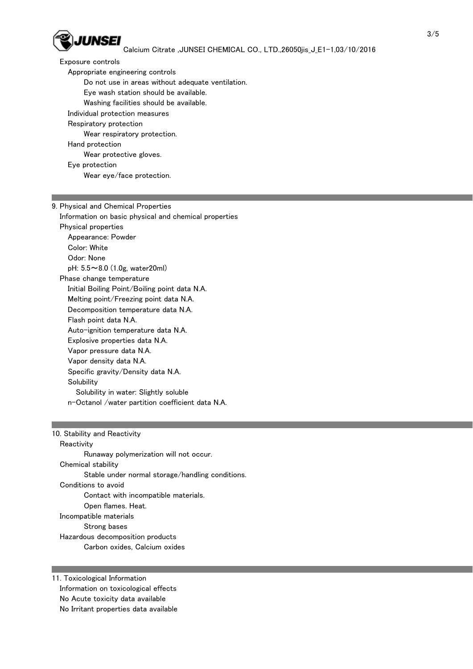

# Calcium Citrate ,JUNSEI CHEMICAL CO., LTD.,26050jis\_J\_E1-1,03/10/2016

Exposure controls

Appropriate engineering controls

 Do not use in areas without adequate ventilation. Eye wash station should be available. Washing facilities should be available. Individual protection measures Respiratory protection Wear respiratory protection. Hand protection Wear protective gloves. Eye protection Wear eye/face protection.

### 9. Physical and Chemical Properties

 Information on basic physical and chemical properties Physical properties Appearance: Powder Color: White Odor: None pH: 5.5~8.0 (1.0g, water20ml) Phase change temperature Initial Boiling Point/Boiling point data N.A. Melting point/Freezing point data N.A. Decomposition temperature data N.A. Flash point data N.A. Auto-ignition temperature data N.A. Explosive properties data N.A. Vapor pressure data N.A. Vapor density data N.A. Specific gravity/Density data N.A. **Solubility**  Solubility in water: Slightly soluble n-Octanol /water partition coefficient data N.A.

### 10. Stability and Reactivity

**Reactivity**  Runaway polymerization will not occur. Chemical stability Stable under normal storage/handling conditions. Conditions to avoid Contact with incompatible materials. Open flames. Heat. Incompatible materials Strong bases Hazardous decomposition products Carbon oxides, Calcium oxides

11. Toxicological Information Information on toxicological effects No Acute toxicity data available No Irritant properties data available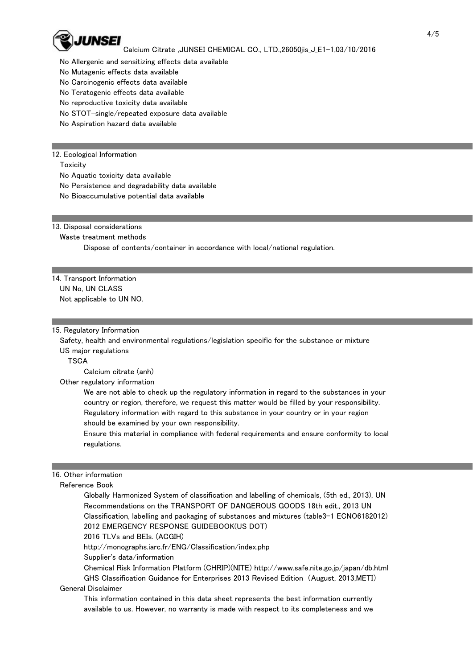

# Calcium Citrate ,JUNSEI CHEMICAL CO., LTD.,26050jis J E1-1,03/10/2016

No Allergenic and sensitizing effects data available

- No Mutagenic effects data available
- No Carcinogenic effects data available
- No Teratogenic effects data available
- No reproductive toxicity data available
- No STOT-single/repeated exposure data available
- No Aspiration hazard data available
- 12. Ecological Information
	- **Toxicity**
	- No Aquatic toxicity data available
	- No Persistence and degradability data available
	- No Bioaccumulative potential data available

13. Disposal considerations

Waste treatment methods

Dispose of contents/container in accordance with local/national regulation.

# 14. Transport Information

UN No, UN CLASS

Not applicable to UN NO.

## 15. Regulatory Information

 Safety, health and environmental regulations/legislation specific for the substance or mixture US major regulations

**TSCA** 

Calcium citrate (anh)

Other regulatory information

 We are not able to check up the regulatory information in regard to the substances in your country or region, therefore, we request this matter would be filled by your responsibility. Regulatory information with regard to this substance in your country or in your region should be examined by your own responsibility.

 Ensure this material in compliance with federal requirements and ensure conformity to local regulations.

## 16. Other information

Reference Book

 Globally Harmonized System of classification and labelling of chemicals, (5th ed., 2013), UN Recommendations on the TRANSPORT OF DANGEROUS GOODS 18th edit., 2013 UN Classification, labelling and packaging of substances and mixtures (table3-1 ECNO6182012) 2012 EMERGENCY RESPONSE GUIDEBOOK(US DOT)

2016 TLVs and BEIs. (ACGIH)

http://monographs.iarc.fr/ENG/Classification/index.php

Supplier's data/information

 Chemical Risk Information Platform (CHRIP)(NITE) http://www.safe.nite.go.jp/japan/db.html GHS Classification Guidance for Enterprises 2013 Revised Edition (August, 2013,METI)

# General Disclaimer

 This information contained in this data sheet represents the best information currently available to us. However, no warranty is made with respect to its completeness and we